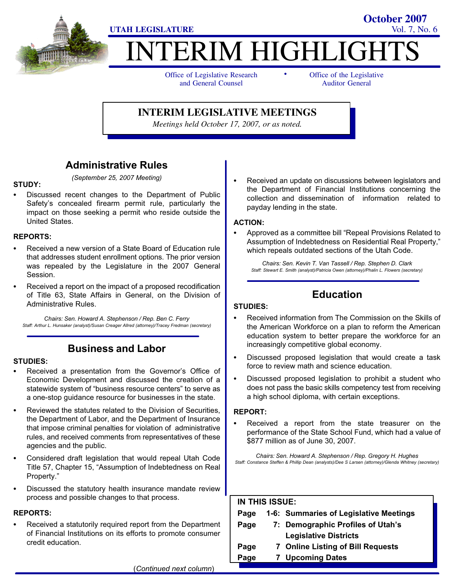

# **TERIM HIGHLIGH** -

Office of Legislative Research and General Counsel

Office of the Legislative Auditor General

**October 2007**

**INTERIM LEGISLATIVE MEETINGS**

*Meetings held October 17, 2007, or as noted.*

## Administrative Rules

## STUDY:<br>--

- (September 25, 2007 Meeting)
- Discussed recent changes to the Department of Public Safety's concealed firearm permit rule, particularly the impact on those seeking a permit who reside outside the United States.

#### REPORTS:

- - Received a new version of a State Board of Education rule that addresses student enrollment options. The prior version was repealed by the Legislature in the 2007 General Session.
- Received a report on the impact of a proposed recodification of Title 63, State Affairs in General, on the Division of Administrative Rules.

Chairs: Sen. Howard A. Stephenson / Rep. Ben C. Ferry Staff: Arthur L. Hunsaker (analyst)/Susan Creager Allred (attorney)/Tracey Fredman (secretary)

## Business and Labor

### STUDIES:<br>-

- Received a presentation from the Governor's Office of Economic Development and discussed the creation of a statewide system of "business resource centers" to serve as a one−stop guidance resource for businesses in the state.
- Reviewed the statutes related to the Division of Securities, the Department of Labor, and the Department of Insurance that impose criminal penalties for violation of administrative rules, and received comments from representatives of these agencies and the public.
- Considered draft legislation that would repeal Utah Code Title 57, Chapter 15, "Assumption of Indebtedness on Real Property."
- Discussed the statutory health insurance mandate review process and possible changes to that process.

#### REPORTS:

- Received a statutorily required report from the Department of Financial Institutions on its efforts to promote consumer credit education.

 Received an update on discussions between legislators and the Department of Financial Institutions concerning the collection and dissemination of information related to payday lending in the state.

## ACTION: -

• Approved as a committee bill "Repeal Provisions Related to Assumption of Indebtedness on Residential Real Property," which repeals outdated sections of the Utah Code.

Chairs: Sen. Kevin T. Van Tassell / Rep. Stephen D. Clark Staff: Stewart E. Smith (analyst)/Patricia Owen (attorney)/Phalin L. Flowers (secretary)

## Education

#### STUDIES:

- - Received information from The Commission on the Skills of the American Workforce on a plan to reform the American education system to better prepare the workforce for an increasingly competitive global economy.
- Discussed proposed legislation that would create a task force to review math and science education.
- Discussed proposed legislation to prohibit a student who does not pass the basic skills competency test from receiving a high school diploma, with certain exceptions.

#### REPORT:

 Received a report from the state treasurer on the performance of the State School Fund, which had a value of \$877 million as of June 30, 2007.

Chairs: Sen. Howard A. Stephenson / Rep. Gregory H. Hughes Staff: Constance Steffen & Phillip Dean (analysts)/Dee S Larsen (attorney)/Glenda Whitney (secretary)

| <b>IN THIS ISSUE:</b> |  |                                        |
|-----------------------|--|----------------------------------------|
| Page                  |  | 1-6: Summaries of Legislative Meetings |
| Page                  |  | 7: Demographic Profiles of Utah's      |
|                       |  | <b>Legislative Districts</b>           |
| Page                  |  | 7 Online Listing of Bill Requests      |
| Page                  |  | <b>Upcoming Dates</b>                  |
|                       |  |                                        |

(Continued next column)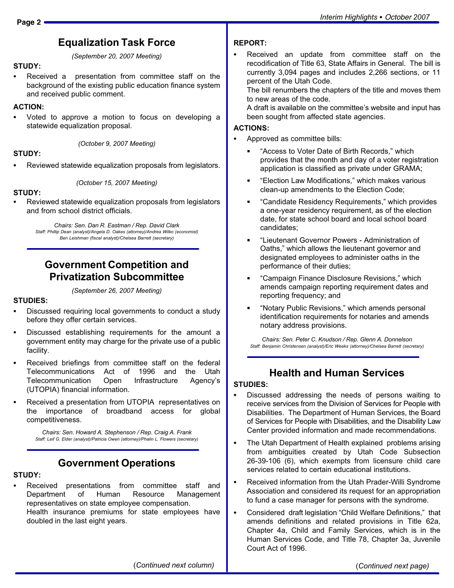(September 20, 2007 Meeting)

### STUDY: -

 Received a presentation from committee staff on the background of the existing public education finance system and received public comment.

#### ACTION: -

 Voted to approve a motion to focus on developing a statewide equalization proposal.

(October 9, 2007 Meeting)

#### STUDY:

-Reviewed statewide equalization proposals from legislators.

(October 15, 2007 Meeting)

#### STUDY:<br>-

 Reviewed statewide equalization proposals from legislators and from school district officials.

> Chairs: Sen. Dan R. Eastman / Rep. David Clark Staff: Phillip Dean (analyst)/Angela D. Oakes (attorney)/Andrea Wilko (economist) Ben Leishman (fiscal analyst)/Chelsea Barrett (secretary)

### Government Competition and Privatization Subcommittee

#### (September 26, 2007 Meeting)

## STUDIES:<br>--

- Discussed requiring local governments to conduct a study before they offer certain services.
- Discussed establishing requirements for the amount a government entity may charge for the private use of a public facility.
- Received briefings from committee staff on the federal<br>Telecommunications Act of 1996 and the Utah Telecommunications Act of 1996 and the Utah Telecommunication Open Infrastructure Agency's (UTOPIA) financial information.
- Received a presentation from UTOPIA representatives on the importance of broadband access for global competitiveness.

Chairs: Sen. Howard A. Stephenson / Rep. Craig A. Frank Staff: Leif G. Elder (analyst)/Patricia Owen (attorney)/Phalin L. Flowers (secretary)

### Government Operations

## STUDY: -

 Received presentations from committee staff and Department of Human Resource Management representatives on state employee compensation. Health insurance premiums for state employees have doubled in the last eight years.

#### REPORT:

- Received an update from committee staff on the recodification of Title 63, State Affairs in General. The bill is currently 3,094 pages and includes 2,266 sections, or 11 percent of the Utah Code.

The bill renumbers the chapters of the title and moves them to new areas of the code.

A draft is available on the committee's website and input has been sought from affected state agencies.

## ACTIONS: -

- Approved as committee bills:
	- -Access to Voter Date of Birth Records," which provides that the month and day of a voter registration application is classified as private under GRAMA;
	- -Election Law Modifications," which makes various clean−up amendments to the Election Code;
	- -Candidate Residency Requirements," which provides a one−year residency requirement, as of the election date, for state school board and local school board candidates;
	- -Lieutenant Governor Powers − Administration of Oaths," which allows the lieutenant governor and designated employees to administer oaths in the performance of their duties;
	- -Campaign Finance Disclosure Revisions," which amends campaign reporting requirement dates and reporting frequency; and
	- -Notary Public Revisions," which amends personal identification requirements for notaries and amends notary address provisions.

Chairs: Sen. Peter C. Knudson / Rep. Glenn A. Donnelson Staff: Benjamin Christensen (analyst)/Eric Weeks (attorney)/Chelsea Barrett (secretary)

### Health and Human Services

## STUDIES:<br>-

- Discussed addressing the needs of persons waiting to receive services from the Division of Services for People with Disabilities. The Department of Human Services, the Board of Services for People with Disabilities, and the Disability Law Center provided information and made recommendations.
- The Utah Department of Health explained problems arising from ambiguities created by Utah Code Subsection 26−39−106 (6), which exempts from licensure child care services related to certain educational institutions.
- Received information from the Utah Prader−Willi Syndrome Association and considered its request for an appropriation to fund a case manager for persons with the syndrome.
- Considered draft legislation "Child Welfare Definitions," that amends definitions and related provisions in Title 62a, Chapter 4a, Child and Family Services, which is in the Human Services Code, and Title 78, Chapter 3a, Juvenile Court Act of 1996.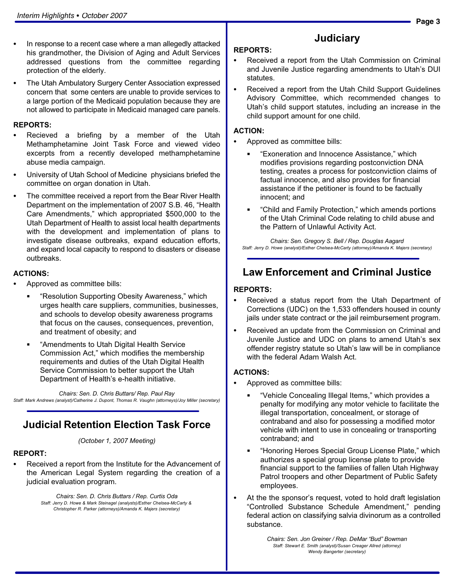- In response to a recent case where a man allegedly attacked his grandmother, the Division of Aging and Adult Services addressed questions from the committee regarding protection of the elderly.
- The Utah Ambulatory Surgery Center Association expressed concern that some centers are unable to provide services to a large portion of the Medicaid population because they are not allowed to participate in Medicaid managed care panels.

## REPORTS: -

- Recieved a briefing by a member of the Utah Methamphetamine Joint Task Force and viewed video excerpts from a recently developed methamphetamine abuse media campaign.
- University of Utah School of Medicine physicians briefed the committee on organ donation in Utah.
- The committee received a report from the Bear River Health Department on the implementation of 2007 S.B. 46, "Health Care Amendments," which appropriated \$500,000 to the Utah Department of Health to assist local health departments with the development and implementation of plans to investigate disease outbreaks, expand education efforts, and expand local capacity to respond to disasters or disease outbreaks.

## ACTIONS: -

- Approved as committee bills:
	- -Resolution Supporting Obesity Awareness," which urges health care suppliers, communities, businesses, and schools to develop obesity awareness programs that focus on the causes, consequences, prevention, and treatment of obesity; and
	- -Amendments to Utah Digital Health Service Commission Act," which modifies the membership requirements and duties of the Utah Digital Health Service Commission to better support the Utah Department of Health's e−health initiative.

Chairs: Sen. D. Chris Buttars/ Rep. Paul Ray Staff: Mark Andrews (analyst)/Catherine J. Dupont, Thomas R. Vaughn (attorneys)/Joy Miller (secretary)

### Judicial Retention Election Task Force

(October 1, 2007 Meeting)

## REPORT: -

 Received a report from the Institute for the Advancement of the American Legal System regarding the creation of a judicial evaluation program.

> Chairs: Sen. D. Chris Buttars / Rep. Curtis Oda Staff: Jerry D. Howe & Mark Steinagel (analysts)/Esther Chelsea−McCarty & Christopher R. Parker (attorneys)/Amanda K. Majers (secretary)

## **Judiciary**

## REPORTS: -

- Received a report from the Utah Commission on Criminal and Juvenile Justice regarding amendments to Utah's DUI statutes.
- Received a report from the Utah Child Support Guidelines Advisory Committee, which recommended changes to Utah's child support statutes, including an increase in the child support amount for one child.

## ACTION: -

- Approved as committee bills:
	- **Exoneration and Innocence Assistance," which** modifies provisions regarding postconviction DNA testing, creates a process for postconviction claims of factual innocence, and also provides for financial assistance if the petitioner is found to be factually innocent; and
	- -Child and Family Protection," which amends portions of the Utah Criminal Code relating to child abuse and the Pattern of Unlawful Activity Act.

Chairs: Sen. Gregory S. Bell / Rep. Douglas Aagard Staff: Jerry D. Howe (analyst)/Esther Chelsea−McCarty (attorney)/Amanda K. Majers (secretary)

### Law Enforcement and Criminal Justice

## REPORTS:<br>—

- Received a status report from the Utah Department of Corrections (UDC) on the 1,533 offenders housed in county jails under state contract or the jail reimbursement program.
- Received an update from the Commission on Criminal and Juvenile Justice and UDC on plans to amend Utah's sex offender registry statute so Utah's law will be in compliance with the federal Adam Walsh Act.

## ACTIONS: -

- Approved as committee bills:
	- -Vehicle Concealing Illegal Items," which provides a penalty for modifying any motor vehicle to facilitate the illegal transportation, concealment, or storage of contraband and also for possessing a modified motor vehicle with intent to use in concealing or transporting contraband; and
	- -Honoring Heroes Special Group License Plate," which authorizes a special group license plate to provide financial support to the families of fallen Utah Highway Patrol troopers and other Department of Public Safety employees.
- At the the sponsor's request, voted to hold draft legislation -Controlled Substance Schedule Amendment," pending federal action on classifying salvia divinorum as a controlled substance.

Chairs: Sen. Jon Greiner / Rep. DeMar "Bud" Bowman Staff: Stewart E. Smith (analyst)/Susan Creager Allred (attorney) Wendy Bangerter (secretary)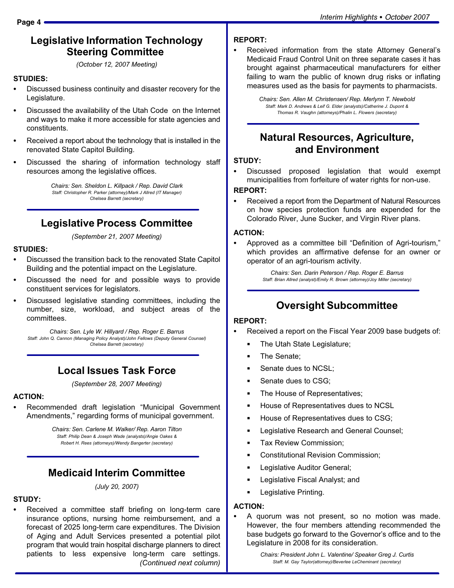#### Legislative Information Technology Steering Committee

(October 12, 2007 Meeting)

## STUDIES:<br>--

- Discussed business continuity and disaster recovery for the Legislature.
- Discussed the availability of the Utah Code on the Internet and ways to make it more accessible for state agencies and constituents.
- Received a report about the technology that is installed in the renovated State Capitol Building.
- Discussed the sharing of information technology staff resources among the legislative offices.

Chairs: Sen. Sheldon L. Killpack / Rep. David Clark Staff: Christopher R. Parker (attorney)/Mark J Allred (IT Manager) Chelsea Barrett (secretary)

### Legislative Process Committee

(September 21, 2007 Meeting)

## STUDIES:<br>--

- Discussed the transition back to the renovated State Capitol Building and the potential impact on the Legislature.
- Discussed the need for and possible ways to provide constituent services for legislators.
- Discussed legislative standing committees, including the number, size, workload, and subject areas of the committees.

Chairs: Sen. Lyle W. Hillyard / Rep. Roger E. Barrus Staff: John Q. Cannon (Managing Policy Analyst)/John Fellows (Deputy General Counsel) Chelsea Barrett (secretary)

### Local Issues Task Force

(September 28, 2007 Meeting)

## ACTION: -

• Recommended draft legislation "Municipal Government Amendments," regarding forms of municipal government.

> Chairs: Sen. Carlene M. Walker/ Rep. Aaron Tilton Staff: Philip Dean & Joseph Wade (analysts)/Angie Oakes & Robert H. Rees (attorneys)/Wendy Bangerter (secretary)

### Medicaid Interim Committee

(July 20, 2007)

## STUDY:<br>\_\_

 Received a committee staff briefing on long−term care insurance options, nursing home reimbursement, and a forecast of 2025 long−term care expenditures. The Division of Aging and Adult Services presented a potential pilot program that would train hospital discharge planners to direct patients to less expensive long−term care settings. (Continued next column)

## REPORT:<br>-

 Received information from the state Attorney General's Medicaid Fraud Control Unit on three separate cases it has brought against pharmaceutical manufacturers for either failing to warn the public of known drug risks or inflating measures used as the basis for payments to pharmacists.

> Chairs: Sen. Allen M. Christensen/ Rep. Merlynn T. Newbold Staff: Mark D. Andrews & Leif G. Elder (analysts)/Catherine J. Dupont & Thomas R. Vaughn (attorneys)/Phalin L. Flowers (secretary)

### Natural Resources, Agriculture, and Environment

## STUDY:<br>--

 Discussed proposed legislation that would exempt municipalities from forfeiture of water rights for non−use.

## REPORT: -

 Received a report from the Department of Natural Resources on how species protection funds are expended for the Colorado River, June Sucker, and Virgin River plans.

## ACTION: -

• Approved as a committee bill "Definition of Agri-tourism," which provides an affirmative defense for an owner or operator of an agri−tourism activity.

> Chairs: Sen. Darin Peterson / Rep. Roger E. Barrus Staff: Brian Allred (analyst)/Emily R. Brown (attorney)/Joy Miller (secretary)

## Oversight Subcommittee

## REPORT:<br>-

- Received a report on the Fiscal Year 2009 base budgets of:
	- The Utah State Legislature;
	- $\blacksquare$ The Senate;
	- Senate dues to NCSL;
	- Senate dues to CSG:
	- The House of Representatives;
	- House of Representatives dues to NCSL
	- House of Representatives dues to CSG;
	- Legislative Research and General Counsel;
	- Tax Review Commission;
	- Constitutional Revision Commission;
	- Legislative Auditor General;
	- Legislative Fiscal Analyst; and
	- Legislative Printing.

## ACTION: -

 A quorum was not present, so no motion was made. However, the four members attending recommended the base budgets go forward to the Governor's office and to the Legislature in 2008 for its consideration.

> Chairs: President John L. Valentine/ Speaker Greg J. Curtis Staff: M. Gay Taylor(attorney)/Beverlee LeCheminant (secretary)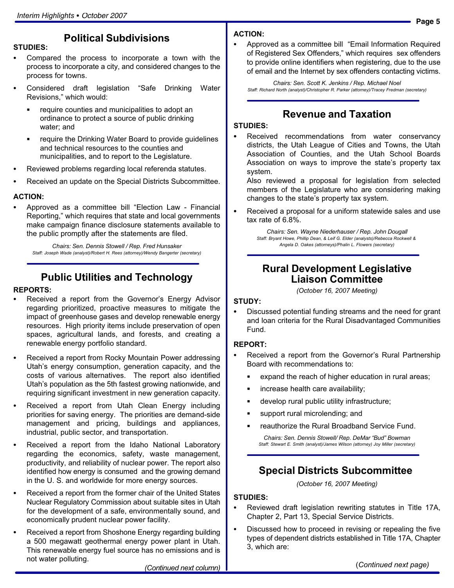#### **Page 5**

## Political Subdivisions

## STUDIES: -

- Compared the process to incorporate a town with the process to incorporate a city, and considered changes to the process for towns.
- Considered draft legislation "Safe Drinking Water Revisions," which would:
	- require counties and municipalities to adopt an ordinance to protect a source of public drinking water; and
	- require the Drinking Water Board to provide guidelines and technical resources to the counties and municipalities, and to report to the Legislature.
- Reviewed problems regarding local referenda statutes.
- Received an update on the Special Districts Subcommittee.

## ACTION: -

• Approved as a committee bill "Election Law - Financial Reporting," which requires that state and local governments make campaign finance disclosure statements available to the public promptly after the statements are filed.

Chairs: Sen. Dennis Stowell / Rep. Fred Hunsaker Staff: Joseph Wade (analyst)/Robert H. Rees (attorney)/Wendy Bangerter (secretary)

## Public Utilities and Technology

#### REPORTS: -

- Received a report from the Governor's Energy Advisor regarding prioritized, proactive measures to mitigate the impact of greenhouse gases and develop renewable energy resources. High priority items include preservation of open spaces, agricultural lands, and forests, and creating a renewable energy portfolio standard.
- Received a report from Rocky Mountain Power addressing Utah's energy consumption, generation capacity, and the costs of various alternatives. The report also identified Utah's population as the 5th fastest growing nationwide, and requiring significant investment in new generation capacity.
- Received a report from Utah Clean Energy including priorities for saving energy. The priorities are demand−side management and pricing, buildings and appliances, industrial, public sector, and transportation.
- Received a report from the Idaho National Laboratory regarding the economics, safety, waste management, productivity, and reliability of nuclear power. The report also identified how energy is consumed and the growing demand in the U. S. and worldwide for more energy sources.
- Received a report from the former chair of the United States Nuclear Regulatory Commission about suitable sites in Utah for the development of a safe, environmentally sound, and economically prudent nuclear power facility.
- Received a report from Shoshone Energy regarding building a 500 megawatt geothermal energy power plant in Utah. This renewable energy fuel source has no emissions and is not water polluting.

### ACTION: -

• Approved as a committee bill "Email Information Required of Registered Sex Offenders," which requires sex offenders to provide online identifiers when registering, due to the use of email and the Internet by sex offenders contacting victims.

Chairs: Sen. Scott K. Jenkins / Rep. Michael Noel Staff: Richard North (analyst)/Christopher R. Parker (attorney)/Tracey Fredman (secretary)

#### Revenue and Taxation

## STUDIES:<br>-

 Received recommendations from water conservancy districts, the Utah League of Cities and Towns, the Utah Association of Counties, and the Utah School Boards Association on ways to improve the state's property tax system.

Also reviewed a proposal for legislation from selected members of the Legislature who are considering making changes to the state's property tax system.

 Received a proposal for a uniform statewide sales and use tax rate of 6.8%.

> Chairs: Sen. Wayne Niederhauser / Rep. John Dougall Staff: Bryant Howe, Phillip Dean, & Leif G. Elder (analysts)/Rebecca Rockwell & Angela D. Oakes (attorneys)/Phalin L. Flowers (secretary)

#### Rural Development Legislative Liaison Committee

(October 16, 2007 Meeting)

## STUDY:<br>--

 Discussed potential funding streams and the need for grant and loan criteria for the Rural Disadvantaged Communities Fund.

## REPORT:<br>-

- Received a report from the Governor's Rural Partnership Board with recommendations to:
	- expand the reach of higher education in rural areas;
	- increase health care availability;
	- $\blacksquare$ develop rural public utility infrastructure;
	- support rural microlending; and
	- reauthorize the Rural Broadband Service Fund.

Chairs: Sen. Dennis Stowell/ Rep. DeMar "Bud" Bowman Staff: Stewart E. Smith (analyst)/James Wilson (attorney) Joy Miller (secretary)

### Special Districts Subcommittee

(October 16, 2007 Meeting)

## STUDIES: -

- Reviewed draft legislation rewriting statutes in Title 17A, Chapter 2, Part 13, Special Service Districts.
- Discussed how to proceed in revising or repealing the five types of dependent districts established in Title 17A, Chapter 3, which are:

(Continued next column)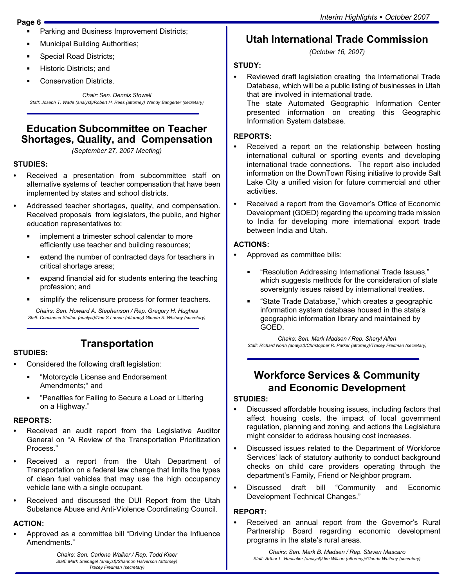#### Page 6

- Parking and Business Improvement Districts;
- Municipal Building Authorities;
- Special Road Districts;
- Historic Districts; and
- Conservation Districts.

Chair: Sen. Dennis Stowell Staff: Joseph T. Wade (analyst)/Robert H. Rees (attorney) Wendy Bangerter (secretary)

#### Education Subcommittee on Teacher Shortages, Quality, and Compensation

(September 27, 2007 Meeting)

#### STUDIES:

- Received a presentation from subcommittee staff on alternative systems of teacher compensation that have been implemented by states and school districts.
- Addressed teacher shortages, quality, and compensation. Received proposals from legislators, the public, and higher education representatives to:
	- ٠ implement a trimester school calendar to more efficiently use teacher and building resources;
	- extend the number of contracted days for teachers in critical shortage areas;
	- expand financial aid for students entering the teaching profession; and
	- simplify the relicensure process for former teachers.

Chairs: Sen. Howard A. Stephenson / Rep. Gregory H. Hughes Staff: Constance Steffen (analyst)/Dee S Larsen (attorney) Glenda S. Whitney (secretary)

#### STUDIES:

## **Transportation**

- Considered the following draft legislation:
	- $\blacksquare$  -Motorcycle License and Endorsement Amendments;" and
	- -Penalties for Failing to Secure a Load or Littering on a Highway."

## REPORTS:<br>—

- Received an audit report from the Legislative Auditor General on "A Review of the Transportation Prioritization Process."
- Received a report from the Utah Department of Transportation on a federal law change that limits the types of clean fuel vehicles that may use the high occupancy vehicle lane with a single occupant.
- Received and discussed the DUI Report from the Utah Substance Abuse and Anti−Violence Coordinating Council.

## ACTION: -

• Approved as a committee bill "Driving Under the Influence Amendments."

> Chairs: Sen. Carlene Walker / Rep. Todd Kiser Staff: Mark Steinagel (analyst)/Shannon Halverson (attorney) Tracey Fredman (secretary)

## Utah International Trade Commission

(October 16, 2007)

#### STUDY:

- Reviewed draft legislation creating the International Trade Database, which will be a public listing of businesses in Utah that are involved in international trade.

The state Automated Geographic Information Center presented information on creating this Geographic Information System database.

## REPORTS:<br>—

- Received a report on the relationship between hosting international cultural or sporting events and developing international trade connections. The report also included information on the DownTown Rising initiative to provide Salt Lake City a unified vision for future commercial and other activities.
- Received a report from the Governor's Office of Economic Development (GOED) regarding the upcoming trade mission to India for developing more international export trade between India and Utah.

## ACTIONS: -

- Approved as committee bills:
	- -Resolution Addressing International Trade Issues," which suggests methods for the consideration of state sovereignty issues raised by international treaties.
	- -State Trade Database," which creates a geographic information system database housed in the state's geographic information library and maintained by GOED.

Chairs: Sen. Mark Madsen / Rep. Sheryl Allen Staff: Richard North (analyst)/Christopher R. Parker (attorney)/Tracey Fredman (secretary)

## Workforce Services & Community and Economic Development

## STUDIES:<br>-

- Discussed affordable housing issues, including factors that affect housing costs, the impact of local government regulation, planning and zoning, and actions the Legislature might consider to address housing cost increases.
- Discussed issues related to the Department of Workforce Services' lack of statutory authority to conduct background checks on child care providers operating through the department's Family, Friend or Neighbor program.
- Discussed draft bill Community and Economic Development Technical Changes."

## REPORT:<br>-

 Received an annual report from the Governor's Rural Partnership Board regarding economic development programs in the state's rural areas.

Chairs: Sen. Mark B. Madsen / Rep. Steven Mascaro Staff: Arthur L. Hunsaker (analyst)/Jim Wilson (attorney)/Glenda Whitney (secretary)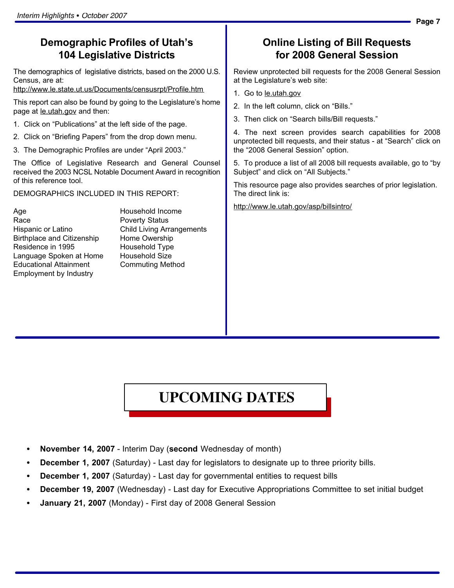### Demographic Profiles of Utah's 104 Legislative Districts

The demographics of legislative districts, based on the 2000 U.S. Census, are at:

http://www.le.state.ut.us/Documents/censusrpt/Profile.htm

This report can also be found by going to the Legislature's home page at le.utah.gov and then:

- 1. Click on "Publications" at the left side of the page.
- 2. Click on "Briefing Papers" from the drop down menu.
- 3. The Demographic Profiles are under "April 2003."

The Office of Legislative Research and General Counsel received the 2003 NCSL Notable Document Award in recognition of this reference tool.

DEMOGRAPHICS INCLUDED IN THIS REPORT:

Age **Household Income** Race **Poverty Status** Hispanic or Latino Child Living Arrangements Birthplace and Citizenship Home Owership Residence in 1995 Household Type Language Spoken at Home Household Size Educational Attainment Commuting Method Employment by Industry

## Online Listing of Bill Requests for 2008 General Session

Review unprotected bill requests for the 2008 General Session at the Legislature's web site:

1. Go to le.utah.gov

2. In the left column, click on "Bills."

3. Then click on "Search bills/Bill requests."

4. The next screen provides search capabilities for 2008 unprotected bill requests, and their status - at "Search" click on the "2008 General Session" option.

5. To produce a list of all 2008 bill requests available, go to "by Subject" and click on "All Subjects."

This resource page also provides searches of prior legislation. The direct link is:

http://www.le.utah.gov/asp/billsintro/

# **UPCOMING DATES**

- November 14, 2007 − Interim Day (second Wednesday of month)
- December 1, 2007 (Saturday) Last day for legislators to designate up to three priority bills.
- December 1, 2007 (Saturday) Last day for governmental entities to request bills
- December 19, 2007 (Wednesday) Last day for Executive Appropriations Committee to set initial budget
- January 21, 2007 (Monday) First day of 2008 General Session